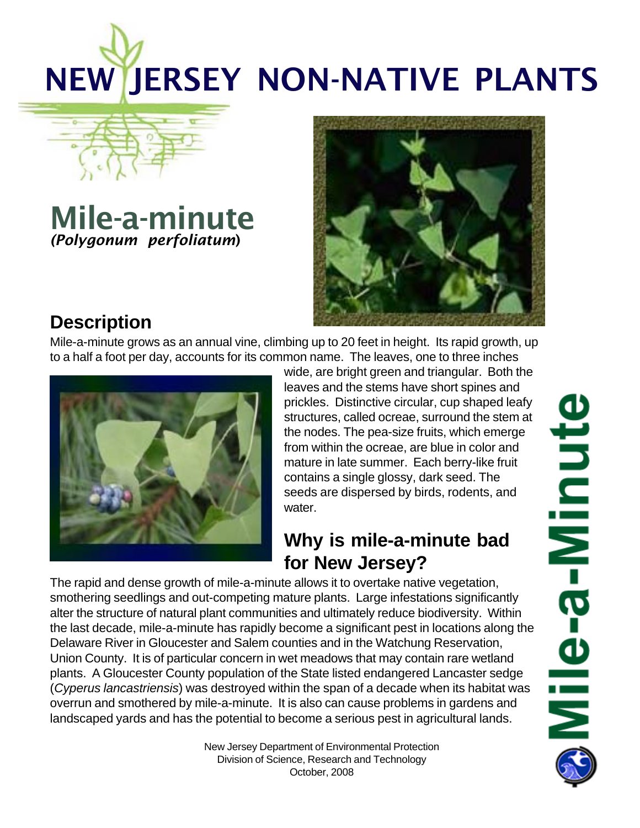# NEW JERSEY NON-NATIVE PLANTS

# Mile-a-minute *(Polygonum perfoliatum*)



## **Description**

Mile-a-minute grows as an annual vine, climbing up to 20 feet in height. Its rapid growth, up to a half a foot per day, accounts for its common name. The leaves, one to three inches



wide, are bright green and triangular. Both the leaves and the stems have short spines and prickles. Distinctive circular, cup shaped leafy structures, called ocreae, surround the stem at the nodes. The pea-size fruits, which emerge from within the ocreae, are blue in color and mature in late summer. Each berry-like fruit contains a single glossy, dark seed. The seeds are dispersed by birds, rodents, and water.

## **Why is mile-a-minute bad for New Jersey?**

The rapid and dense growth of mile-a-minute allows it to overtake native vegetation, smothering seedlings and out-competing mature plants. Large infestations significantly alter the structure of natural plant communities and ultimately reduce biodiversity. Within the last decade, mile-a-minute has rapidly become a significant pest in locations along the Delaware River in Gloucester and Salem counties and in the Watchung Reservation, Union County. It is of particular concern in wet meadows that may contain rare wetland plants. A Gloucester County population of the State listed endangered Lancaster sedge (*Cyperus lancastriensis*) was destroyed within the span of a decade when its habitat was overrun and smothered by mile-a-minute. It is also can cause problems in gardens and landscaped yards and has the potential to become a serious pest in agricultural lands.

> New Jersey Department of Environmental Protection Division of Science, Research and Technology October, 2008